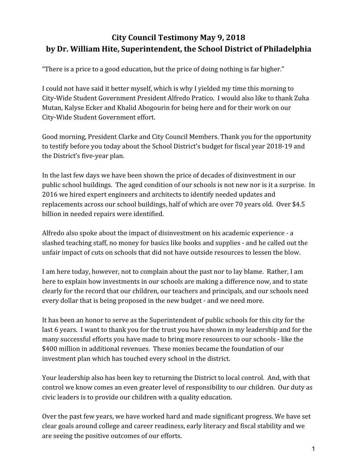## **City Council Testimony May 9, 2018 by Dr. William Hite, Superintendent, the School District of Philadelphia**

"There is a price to a good education, but the price of doing nothing is far higher."

I could not have said it better myself, which is why I yielded my time this morning to City-Wide Student Government President Alfredo Pratico. I would also like to thank Zuha Mutan, Kalyse Ecker and Khalid Abogourin for being here and for their work on our City-Wide Student Government effort.

Good morning, President Clarke and City Council Members. Thank you for the opportunity to testify before you today about the School District's budget for fiscal year 2018-19 and the District's five-year plan.

In the last few days we have been shown the price of decades of disinvestment in our public school buildings. The aged condition of our schools is not new nor is it a surprise. In 2016 we hired expert engineers and architects to identify needed updates and replacements across our school buildings, half of which are over 70 years old. Over \$4.5 billion in needed repairs were identified.

Alfredo also spoke about the impact of disinvestment on his academic experience - a slashed teaching staff, no money for basics like books and supplies - and he called out the unfair impact of cuts on schools that did not have outside resources to lessen the blow.

I am here today, however, not to complain about the past nor to lay blame. Rather, I am here to explain how investments in our schools are making a difference now, and to state clearly for the record that our children, our teachers and principals, and our schools need every dollar that is being proposed in the new budget - and we need more.

It has been an honor to serve as the Superintendent of public schools for this city for the last 6 years. I want to thank you for the trust you have shown in my leadership and for the many successful efforts you have made to bring more resources to our schools - like the \$400 million in additional revenues. These monies became the foundation of our investment plan which has touched every school in the district.

Your leadership also has been key to returning the District to local control. And, with that control we know comes an even greater level of responsibility to our children. Our duty as civic leaders is to provide our children with a quality education.

Over the past few years, we have worked hard and made significant progress. We have set clear goals around college and career readiness, early literacy and fiscal stability and we are seeing the positive outcomes of our efforts.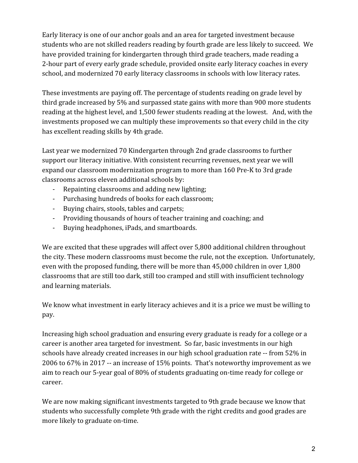Early literacy is one of our anchor goals and an area for targeted investment because students who are not skilled readers reading by fourth grade are less likely to succeed. We have provided training for kindergarten through third grade teachers, made reading a 2-hour part of every early grade schedule, provided onsite early literacy coaches in every school, and modernized 70 early literacy classrooms in schools with low literacy rates.

These investments are paying off. The percentage of students reading on grade level by third grade increased by 5% and surpassed state gains with more than 900 more students reading at the highest level, and 1,500 fewer students reading at the lowest. And, with the investments proposed we can multiply these improvements so that every child in the city has excellent reading skills by 4th grade.

Last year we modernized 70 Kindergarten through 2nd grade classrooms to further support our literacy initiative. With consistent recurring revenues, next year we will expand our classroom modernization program to more than 160 Pre-K to 3rd grade classrooms across eleven additional schools by:

- Repainting classrooms and adding new lighting;
- Purchasing hundreds of books for each classroom;
- Buying chairs, stools, tables and carpets;
- Providing thousands of hours of teacher training and coaching; and
- Buying headphones, iPads, and smartboards.

We are excited that these upgrades will affect over 5,800 additional children throughout the city. These modern classrooms must become the rule, not the exception. Unfortunately, even with the proposed funding, there will be more than 45,000 children in over 1,800 classrooms that are still too dark, still too cramped and still with insufficient technology and learning materials.

We know what investment in early literacy achieves and it is a price we must be willing to pay.

Increasing high school graduation and ensuring every graduate is ready for a college or a career is another area targeted for investment. So far, basic investments in our high schools have already created increases in our high school graduation rate -- from 52% in 2006 to 67% in 2017 -- an increase of 15% points. That's noteworthy improvement as we aim to reach our 5-year goal of 80% of students graduating on-time ready for college or career.

We are now making significant investments targeted to 9th grade because we know that students who successfully complete 9th grade with the right credits and good grades are more likely to graduate on-time.